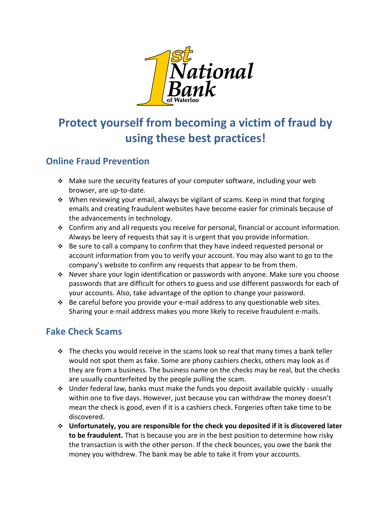

# **Protect yourself from becoming a victim of fraud by using these best practices!**

#### **Online Fraud Prevention**

- Make sure the security features of your computer software, including your web browser, are up-to-date.
- When reviewing your email, always be vigilant of scams. Keep in mind that forging emails and creating fraudulent websites have become easier for criminals because of the advancements in technology.
- Confirm any and all requests you receive for personal, financial or account information. Always be leery of requests that say it is urgent that you provide information.
- $\cdot \cdot$  Be sure to call a company to confirm that they have indeed requested personal or account information from you to verify your account. You may also want to go to the company's website to confirm any requests that appear to be from them.
- Never share your login identification or passwords with anyone. Make sure you choose passwords that are difficult for others to guess and use different passwords for each of your accounts. Also, take advantage of the option to change your password.
- $\cdot$  Be careful before you provide your e-mail address to any questionable web sites. Sharing your e-mail address makes you more likely to receive fraudulent e-mails.

#### **Fake Check Scams**

- $\cdot \cdot$  The checks you would receive in the scams look so real that many times a bank teller would not spot them as fake. Some are phony cashiers checks, others may look as if they are from a business. The business name on the checks may be real, but the checks are usually counterfeited by the people pulling the scam.
- Under federal law, banks must make the funds you deposit available quickly usually within one to five days. However, just because you can withdraw the money doesn't mean the check is good, even if it is a cashiers check. Forgeries often take time to be discovered.
- **Unfortunately, you are responsible for the check you deposited if it is discovered later to be fraudulent.** That is because you are in the best position to determine how risky the transaction is with the other person. If the check bounces, you owe the bank the money you withdrew. The bank may be able to take it from your accounts.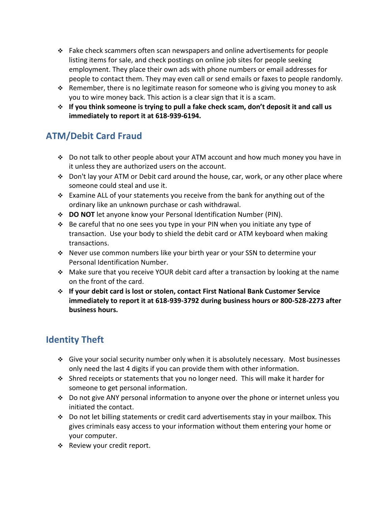- $\cdot \cdot$  Fake check scammers often scan newspapers and online advertisements for people listing items for sale, and check postings on online job sites for people seeking employment. They place their own ads with phone numbers or email addresses for people to contact them. They may even call or send emails or faxes to people randomly.
- Remember, there is no legitimate reason for someone who is giving you money to ask you to wire money back. This action is a clear sign that it is a scam.
- **If you think someone is trying to pull a fake check scam, don't deposit it and call us immediately to report it at 618-939-6194.**

### **ATM/Debit Card Fraud**

- Do not talk to other people about your ATM account and how much money you have in it unless they are authorized users on the account.
- $\div$  Don't lay your ATM or Debit card around the house, car, work, or any other place where someone could steal and use it.
- $\div$  Examine ALL of your statements you receive from the bank for anything out of the ordinary like an unknown purchase or cash withdrawal.
- **DO NOT** let anyone know your Personal Identification Number (PIN).
- Be careful that no one sees you type in your PIN when you initiate any type of transaction. Use your body to shield the debit card or ATM keyboard when making transactions.
- Never use common numbers like your birth year or your SSN to determine your Personal Identification Number.
- $\cdot$  Make sure that you receive YOUR debit card after a transaction by looking at the name on the front of the card.
- **If your debit card is lost or stolen, contact First National Bank Customer Service immediately to report it at 618-939-3792 during business hours or 800-528-2273 after business hours.**

## **Identity Theft**

- Give your social security number only when it is absolutely necessary. Most businesses only need the last 4 digits if you can provide them with other information.
- Shred receipts or statements that you no longer need. This will make it harder for someone to get personal information.
- Do not give ANY personal information to anyone over the phone or internet unless you initiated the contact.
- Do not let billing statements or credit card advertisements stay in your mailbox. This gives criminals easy access to your information without them entering your home or your computer.
- \* Review your credit report.